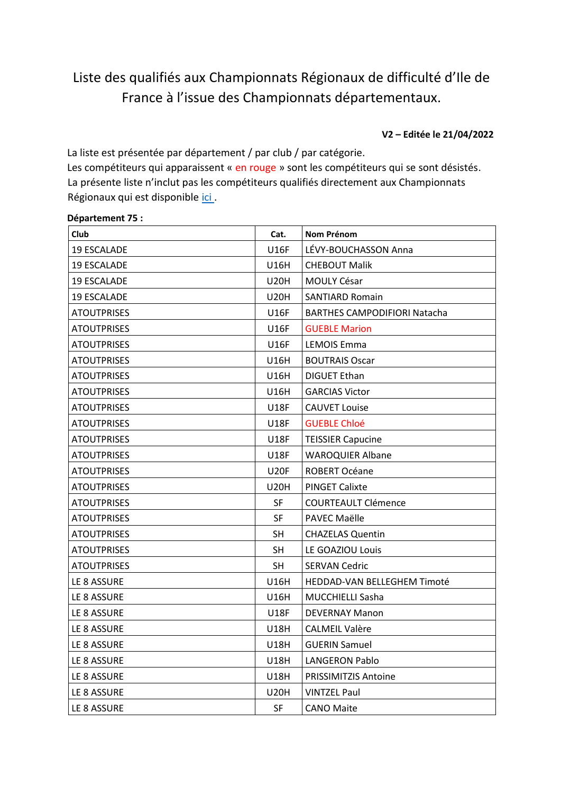# Liste des qualifiés aux Championnats Régionaux de difficulté d'Ile de France à l'issue des Championnats départementaux.

**V2 – Editée le 21/04/2022** 

La liste est présentée par département / par club / par catégorie. Les compétiteurs qui apparaissent « en rouge » sont les compétiteurs qui se sont désistés. La présente liste n'inclut pas les compétiteurs qualifiés directement aux Championnats Régionaux qui est disponible *ici*[.](http://idf.ffme.fr/quotas-et-prequalifies/)

#### **Département 75 :**

| <b>Club</b>        | Cat.        | <b>Nom Prénom</b>                   |
|--------------------|-------------|-------------------------------------|
| <b>19 ESCALADE</b> | <b>U16F</b> | LÉVY-BOUCHASSON Anna                |
| <b>19 ESCALADE</b> | U16H        | <b>CHEBOUT Malik</b>                |
| <b>19 ESCALADE</b> | <b>U20H</b> | MOULY César                         |
| <b>19 ESCALADE</b> | <b>U20H</b> | <b>SANTIARD Romain</b>              |
| ATOUTPRISES        | <b>U16F</b> | <b>BARTHES CAMPODIFIORI Natacha</b> |
| <b>ATOUTPRISES</b> | <b>U16F</b> | <b>GUEBLE Marion</b>                |
| ATOUTPRISES        | U16F        | <b>LEMOIS Emma</b>                  |
| <b>ATOUTPRISES</b> | U16H        | <b>BOUTRAIS Oscar</b>               |
| <b>ATOUTPRISES</b> | U16H        | <b>DIGUET Ethan</b>                 |
| ATOUTPRISES        | U16H        | <b>GARCIAS Victor</b>               |
| <b>ATOUTPRISES</b> | <b>U18F</b> | <b>CAUVET Louise</b>                |
| <b>ATOUTPRISES</b> | <b>U18F</b> | <b>GUEBLE Chloé</b>                 |
| <b>ATOUTPRISES</b> | <b>U18F</b> | <b>TEISSIER Capucine</b>            |
| ATOUTPRISES        | U18F        | <b>WAROQUIER Albane</b>             |
| <b>ATOUTPRISES</b> | <b>U20F</b> | <b>ROBERT Océane</b>                |
| <b>ATOUTPRISES</b> | U20H        | <b>PINGET Calixte</b>               |
| ATOUTPRISES        | SF          | COURTEAULT Clémence                 |
| <b>ATOUTPRISES</b> | SF          | PAVEC Maëlle                        |
| <b>ATOUTPRISES</b> | <b>SH</b>   | <b>CHAZELAS Quentin</b>             |
| <b>ATOUTPRISES</b> | <b>SH</b>   | LE GOAZIOU Louis                    |
| ATOUTPRISES        | SH          | <b>SERVAN Cedric</b>                |
| LE 8 ASSURE        | U16H        | HEDDAD-VAN BELLEGHEM Timoté         |
| LE 8 ASSURE        | U16H        | <b>MUCCHIELLI Sasha</b>             |
| LE 8 ASSURE        | <b>U18F</b> | <b>DEVERNAY Manon</b>               |
| LE 8 ASSURE        | <b>U18H</b> | <b>CALMEIL Valère</b>               |
| LE 8 ASSURE        | <b>U18H</b> | <b>GUERIN Samuel</b>                |
| LE 8 ASSURE        | <b>U18H</b> | <b>LANGERON Pablo</b>               |
| LE 8 ASSURE        | U18H        | <b>PRISSIMITZIS Antoine</b>         |
| LE 8 ASSURE        | U20H        | <b>VINTZEL Paul</b>                 |
| LE 8 ASSURE        | <b>SF</b>   | <b>CANO Maite</b>                   |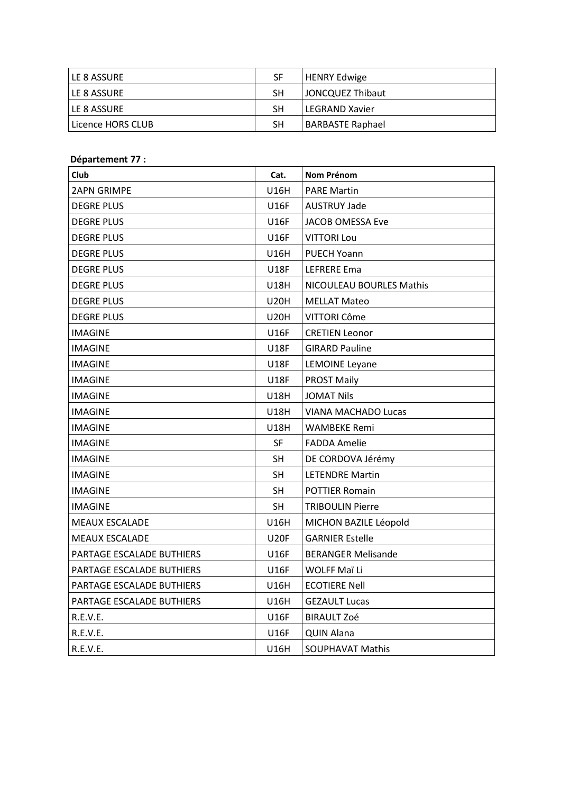| I LE 8 ASSURE       | SF | HENRY Edwige          |
|---------------------|----|-----------------------|
| I LE 8 ASSURE       | SΗ | JONCQUEZ Thibaut      |
| I LE 8 ASSURE       | SΗ | <b>LEGRAND Xavier</b> |
| l Licence HORS CLUB | SΗ | BARBASTE Raphael      |

#### Département 77 :

| Club                      | Cat.        | <b>Nom Prénom</b>         |
|---------------------------|-------------|---------------------------|
| <b>2APN GRIMPE</b>        | <b>U16H</b> | <b>PARE Martin</b>        |
| <b>DEGRE PLUS</b>         | U16F        | <b>AUSTRUY Jade</b>       |
| <b>DEGRE PLUS</b>         | <b>U16F</b> | JACOB OMESSA Eve          |
| <b>DEGRE PLUS</b>         | U16F        | <b>VITTORI Lou</b>        |
| <b>DEGRE PLUS</b>         | U16H        | <b>PUECH Yoann</b>        |
| <b>DEGRE PLUS</b>         | U18F        | LEFRERE Ema               |
| <b>DEGRE PLUS</b>         | <b>U18H</b> | NICOULEAU BOURLES Mathis  |
| <b>DEGRE PLUS</b>         | <b>U20H</b> | <b>MELLAT Mateo</b>       |
| <b>DEGRE PLUS</b>         | U20H        | VITTORI Côme              |
| IMAGINE                   | <b>U16F</b> | <b>CRETIEN Leonor</b>     |
| <b>IMAGINE</b>            | <b>U18F</b> | <b>GIRARD Pauline</b>     |
| <b>IMAGINE</b>            | U18F        | <b>LEMOINE Leyane</b>     |
| <b>IMAGINE</b>            | <b>U18F</b> | <b>PROST Maily</b>        |
| <b>IMAGINE</b>            | <b>U18H</b> | <b>JOMAT Nils</b>         |
| <b>IMAGINE</b>            | U18H        | VIANA MACHADO Lucas       |
| IMAGINE                   | <b>U18H</b> | <b>WAMBEKE Remi</b>       |
| <b>IMAGINE</b>            | SF          | <b>FADDA Amelie</b>       |
| <b>IMAGINE</b>            | <b>SH</b>   | DE CORDOVA Jérémy         |
| <b>IMAGINE</b>            | <b>SH</b>   | <b>LETENDRE Martin</b>    |
| <b>IMAGINE</b>            | <b>SH</b>   | <b>POTTIER Romain</b>     |
| <b>IMAGINE</b>            | <b>SH</b>   | <b>TRIBOULIN Pierre</b>   |
| <b>MEAUX ESCALADE</b>     | U16H        | MICHON BAZILE Léopold     |
| <b>MEAUX ESCALADE</b>     | <b>U20F</b> | <b>GARNIER Estelle</b>    |
| PARTAGE ESCALADE BUTHIERS | U16F        | <b>BERANGER Melisande</b> |
| PARTAGE ESCALADE BUTHIERS | <b>U16F</b> | WOLFF Maï Li              |
| PARTAGE ESCALADE BUTHIERS | U16H        | <b>ECOTIERE Nell</b>      |
| PARTAGE ESCALADE BUTHIERS | U16H        | <b>GEZAULT Lucas</b>      |
| R.E.V.E.                  | <b>U16F</b> | <b>BIRAULT Zoé</b>        |
| R.E.V.E.                  | <b>U16F</b> | <b>QUIN Alana</b>         |
| R.E.V.E.                  | U16H        | <b>SOUPHAVAT Mathis</b>   |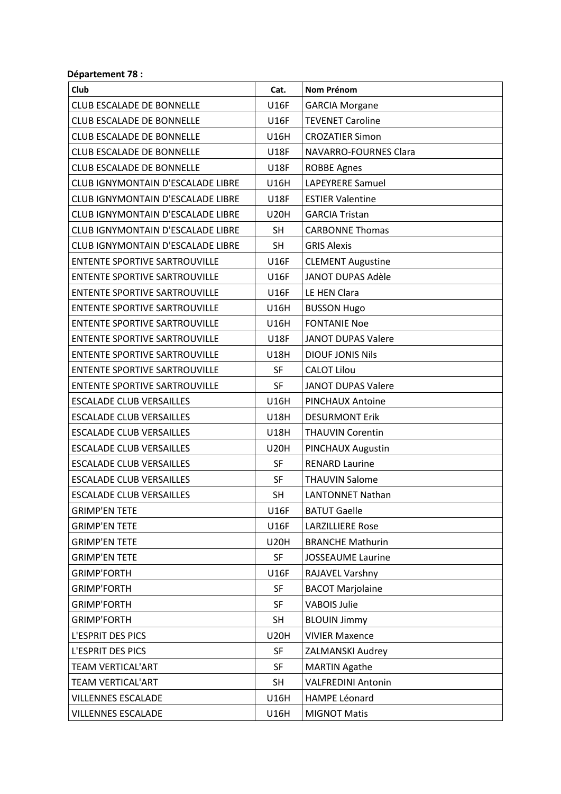## Département 78 :

| Club                                     | Cat.        | <b>Nom Prénom</b>         |
|------------------------------------------|-------------|---------------------------|
| <b>CLUB ESCALADE DE BONNELLE</b>         | <b>U16F</b> | <b>GARCIA Morgane</b>     |
| <b>CLUB ESCALADE DE BONNELLE</b>         | <b>U16F</b> | <b>TEVENET Caroline</b>   |
| <b>CLUB ESCALADE DE BONNELLE</b>         | <b>U16H</b> | <b>CROZATIER Simon</b>    |
| <b>CLUB ESCALADE DE BONNELLE</b>         | <b>U18F</b> | NAVARRO-FOURNES Clara     |
| <b>CLUB ESCALADE DE BONNELLE</b>         | <b>U18F</b> | <b>ROBBE Agnes</b>        |
| <b>CLUB IGNYMONTAIN D'ESCALADE LIBRE</b> | <b>U16H</b> | LAPEYRERE Samuel          |
| CLUB IGNYMONTAIN D'ESCALADE LIBRE        | <b>U18F</b> | <b>ESTIER Valentine</b>   |
| CLUB IGNYMONTAIN D'ESCALADE LIBRE        | <b>U20H</b> | <b>GARCIA Tristan</b>     |
| CLUB IGNYMONTAIN D'ESCALADE LIBRE        | <b>SH</b>   | <b>CARBONNE Thomas</b>    |
| CLUB IGNYMONTAIN D'ESCALADE LIBRE        | <b>SH</b>   | <b>GRIS Alexis</b>        |
| <b>ENTENTE SPORTIVE SARTROUVILLE</b>     | <b>U16F</b> | <b>CLEMENT Augustine</b>  |
| <b>ENTENTE SPORTIVE SARTROUVILLE</b>     | <b>U16F</b> | <b>JANOT DUPAS Adèle</b>  |
| <b>ENTENTE SPORTIVE SARTROUVILLE</b>     | <b>U16F</b> | LE HEN Clara              |
| <b>ENTENTE SPORTIVE SARTROUVILLE</b>     | <b>U16H</b> | <b>BUSSON Hugo</b>        |
| <b>ENTENTE SPORTIVE SARTROUVILLE</b>     | <b>U16H</b> | <b>FONTANIE Noe</b>       |
| <b>ENTENTE SPORTIVE SARTROUVILLE</b>     | <b>U18F</b> | <b>JANOT DUPAS Valere</b> |
| <b>ENTENTE SPORTIVE SARTROUVILLE</b>     | <b>U18H</b> | <b>DIOUF JONIS Nils</b>   |
| <b>ENTENTE SPORTIVE SARTROUVILLE</b>     | <b>SF</b>   | <b>CALOT Lilou</b>        |
| <b>ENTENTE SPORTIVE SARTROUVILLE</b>     | <b>SF</b>   | <b>JANOT DUPAS Valere</b> |
| <b>ESCALADE CLUB VERSAILLES</b>          | <b>U16H</b> | PINCHAUX Antoine          |
| <b>ESCALADE CLUB VERSAILLES</b>          | <b>U18H</b> | <b>DESURMONT Erik</b>     |
| <b>ESCALADE CLUB VERSAILLES</b>          | <b>U18H</b> | <b>THAUVIN Corentin</b>   |
| <b>ESCALADE CLUB VERSAILLES</b>          | <b>U20H</b> | PINCHAUX Augustin         |
| <b>ESCALADE CLUB VERSAILLES</b>          | SF          | <b>RENARD Laurine</b>     |
| <b>ESCALADE CLUB VERSAILLES</b>          | SF          | <b>THAUVIN Salome</b>     |
| <b>ESCALADE CLUB VERSAILLES</b>          | <b>SH</b>   | <b>LANTONNET Nathan</b>   |
| <b>GRIMP'EN TETE</b>                     | U16F        | <b>BATUT Gaelle</b>       |
| <b>GRIMP'EN TETE</b>                     | <b>U16F</b> | <b>LARZILLIERE Rose</b>   |
| <b>GRIMP'EN TETE</b>                     | <b>U20H</b> | <b>BRANCHE Mathurin</b>   |
| <b>GRIMP'EN TETE</b>                     | SF          | <b>JOSSEAUME Laurine</b>  |
| <b>GRIMP'FORTH</b>                       | <b>U16F</b> | RAJAVEL Varshny           |
| <b>GRIMP'FORTH</b>                       | SF          | <b>BACOT Marjolaine</b>   |
| <b>GRIMP'FORTH</b>                       | SF          | <b>VABOIS Julie</b>       |
| <b>GRIMP'FORTH</b>                       | <b>SH</b>   | <b>BLOUIN Jimmy</b>       |
| L'ESPRIT DES PICS                        | <b>U20H</b> | <b>VIVIER Maxence</b>     |
| L'ESPRIT DES PICS                        | <b>SF</b>   | ZALMANSKI Audrey          |
| <b>TEAM VERTICAL'ART</b>                 | SF          | <b>MARTIN Agathe</b>      |
| <b>TEAM VERTICAL'ART</b>                 | <b>SH</b>   | <b>VALFREDINI Antonin</b> |
| <b>VILLENNES ESCALADE</b>                | U16H        | <b>HAMPE Léonard</b>      |
| <b>VILLENNES ESCALADE</b>                | <b>U16H</b> | <b>MIGNOT Matis</b>       |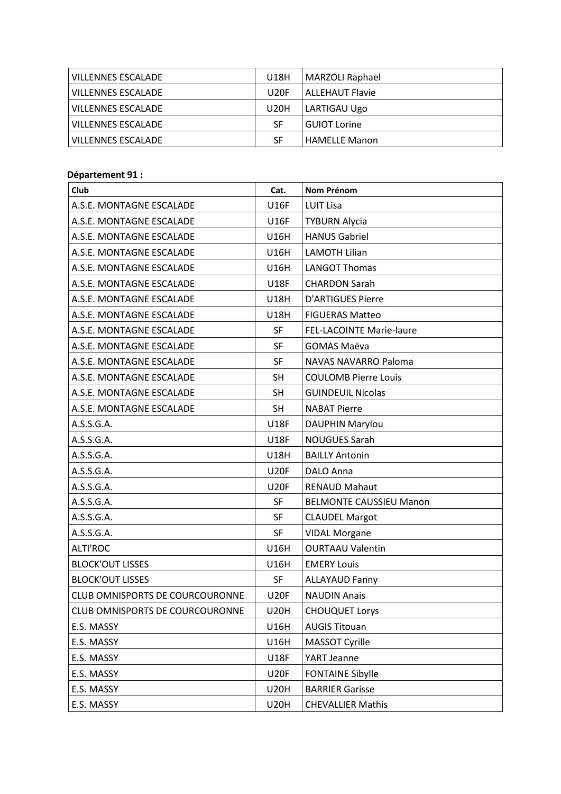| <b>VILLENNES ESCALADE</b> | U18H             | MARZOLI Raphael        |
|---------------------------|------------------|------------------------|
| <b>VILLENNES ESCALADE</b> | U <sub>20F</sub> | <b>ALLEHAUT Flavie</b> |
| <b>VILLENNES ESCALADE</b> | U20H             | LARTIGAU Ugo           |
| <b>VILLENNES ESCALADE</b> | SF               | <b>GUIOT Lorine</b>    |
| <b>VILLENNES ESCALADE</b> | SF               | <b>HAMELLE Manon</b>   |

## **Département 91 :**

| Club                            | Cat.        | <b>Nom Prénom</b>               |
|---------------------------------|-------------|---------------------------------|
| A.S.E. MONTAGNE ESCALADE        | <b>U16F</b> | <b>LUIT Lisa</b>                |
| A.S.E. MONTAGNE ESCALADE        | <b>U16F</b> | <b>TYBURN Alycia</b>            |
| A.S.E. MONTAGNE ESCALADE        | U16H        | <b>HANUS Gabriel</b>            |
| A.S.E. MONTAGNE ESCALADE        | <b>U16H</b> | <b>LAMOTH Lilian</b>            |
| A.S.E. MONTAGNE ESCALADE        | <b>U16H</b> | <b>LANGOT Thomas</b>            |
| A.S.E. MONTAGNE ESCALADE        | <b>U18F</b> | <b>CHARDON Sarah</b>            |
| A.S.E. MONTAGNE ESCALADE        | <b>U18H</b> | <b>D'ARTIGUES Pierre</b>        |
| A.S.E. MONTAGNE ESCALADE        | <b>U18H</b> | <b>FIGUERAS Matteo</b>          |
| A.S.E. MONTAGNE ESCALADE        | <b>SF</b>   | <b>FEL-LACOINTE Marie-laure</b> |
| A.S.E. MONTAGNE ESCALADE        | <b>SF</b>   | <b>GOMAS Maëva</b>              |
| A.S.E. MONTAGNE ESCALADE        | SF          | NAVAS NAVARRO Paloma            |
| A.S.E. MONTAGNE ESCALADE        | <b>SH</b>   | <b>COULOMB Pierre Louis</b>     |
| A.S.E. MONTAGNE ESCALADE        | <b>SH</b>   | <b>GUINDEUIL Nicolas</b>        |
| A.S.E. MONTAGNE ESCALADE        | <b>SH</b>   | <b>NABAT Pierre</b>             |
| A.S.S.G.A.                      | <b>U18F</b> | DAUPHIN Marylou                 |
| A.S.S.G.A.                      | <b>U18F</b> | <b>NOUGUES Sarah</b>            |
| A.S.S.G.A.                      | <b>U18H</b> | <b>BAILLY Antonin</b>           |
| A.S.S.G.A.                      | <b>U20F</b> | <b>DALO Anna</b>                |
| A.S.S.G.A.                      | <b>U20F</b> | <b>RENAUD Mahaut</b>            |
| A.S.S.G.A.                      | <b>SF</b>   | <b>BELMONTE CAUSSIEU Manon</b>  |
| A.S.S.G.A.                      | <b>SF</b>   | <b>CLAUDEL Margot</b>           |
| A.S.S.G.A.                      | <b>SF</b>   | <b>VIDAL Morgane</b>            |
| <b>ALTI'ROC</b>                 | U16H        | <b>OURTAAU Valentin</b>         |
| <b>BLOCK'OUT LISSES</b>         | U16H        | <b>EMERY Louis</b>              |
| <b>BLOCK'OUT LISSES</b>         | <b>SF</b>   | <b>ALLAYAUD Fanny</b>           |
| CLUB OMNISPORTS DE COURCOURONNE | <b>U20F</b> | <b>NAUDIN Anais</b>             |
| CLUB OMNISPORTS DE COURCOURONNE | <b>U20H</b> | <b>CHOUQUET Lorys</b>           |
| E.S. MASSY                      | U16H        | <b>AUGIS Titouan</b>            |
| E.S. MASSY                      | U16H        | MASSOT Cyrille                  |
| E.S. MASSY                      | <b>U18F</b> | YART Jeanne                     |
| E.S. MASSY                      | <b>U20F</b> | <b>FONTAINE Sibylle</b>         |
| E.S. MASSY                      | <b>U20H</b> | <b>BARRIER Garisse</b>          |
| E.S. MASSY                      | <b>U20H</b> | <b>CHEVALLIER Mathis</b>        |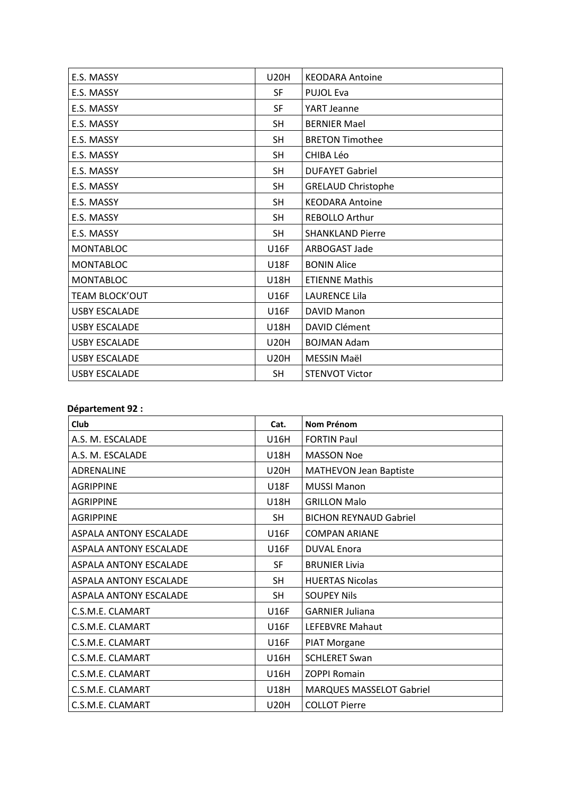| E.S. MASSY           | <b>U20H</b> | <b>KEODARA Antoine</b>    |
|----------------------|-------------|---------------------------|
| E.S. MASSY           | SF          | <b>PUJOL Eva</b>          |
| E.S. MASSY           | SF          | YART Jeanne               |
| E.S. MASSY           | <b>SH</b>   | <b>BERNIER Mael</b>       |
| E.S. MASSY           | <b>SH</b>   | <b>BRETON Timothee</b>    |
| E.S. MASSY           | <b>SH</b>   | CHIBA Léo                 |
| E.S. MASSY           | <b>SH</b>   | <b>DUFAYET Gabriel</b>    |
| E.S. MASSY           | <b>SH</b>   | <b>GRELAUD Christophe</b> |
| E.S. MASSY           | <b>SH</b>   | <b>KEODARA Antoine</b>    |
| E.S. MASSY           | <b>SH</b>   | <b>REBOLLO Arthur</b>     |
| E.S. MASSY           | <b>SH</b>   | <b>SHANKLAND Pierre</b>   |
| <b>MONTABLOC</b>     | <b>U16F</b> | ARBOGAST Jade             |
| <b>MONTABLOC</b>     | <b>U18F</b> | <b>BONIN Alice</b>        |
| <b>MONTABLOC</b>     | <b>U18H</b> | <b>ETIENNE Mathis</b>     |
| TEAM BLOCK'OUT       | <b>U16F</b> | <b>LAURENCE Lila</b>      |
| <b>USBY ESCALADE</b> | <b>U16F</b> | <b>DAVID Manon</b>        |
| <b>USBY ESCALADE</b> | <b>U18H</b> | <b>DAVID Clément</b>      |
| <b>USBY ESCALADE</b> | <b>U20H</b> | <b>BOJMAN Adam</b>        |
| <b>USBY ESCALADE</b> | <b>U20H</b> | MESSIN Maël               |
| <b>USBY ESCALADE</b> | <b>SH</b>   | <b>STENVOT Victor</b>     |

#### Département 92 :

| Club                   | Cat.        | <b>Nom Prénom</b>               |
|------------------------|-------------|---------------------------------|
| A.S. M. ESCALADE       | <b>U16H</b> | <b>FORTIN Paul</b>              |
| A.S. M. ESCALADE       | <b>U18H</b> | <b>MASSON Noe</b>               |
| ADRENALINE             | <b>U20H</b> | <b>MATHEVON Jean Baptiste</b>   |
| <b>AGRIPPINE</b>       | <b>U18F</b> | <b>MUSSI Manon</b>              |
| <b>AGRIPPINE</b>       | <b>U18H</b> | <b>GRILLON Malo</b>             |
| <b>AGRIPPINE</b>       | SH          | <b>BICHON REYNAUD Gabriel</b>   |
| ASPALA ANTONY ESCALADE | <b>U16F</b> | <b>COMPAN ARIANE</b>            |
| ASPALA ANTONY ESCALADE | <b>U16F</b> | <b>DUVAL Enora</b>              |
| ASPALA ANTONY ESCALADE | <b>SF</b>   | <b>BRUNIER Livia</b>            |
| ASPALA ANTONY ESCALADE | <b>SH</b>   | <b>HUERTAS Nicolas</b>          |
| ASPALA ANTONY ESCALADE | SH          | <b>SOUPEY Nils</b>              |
| C.S.M.E. CLAMART       | <b>U16F</b> | <b>GARNIER Juliana</b>          |
| C.S.M.E. CLAMART       | <b>U16F</b> | LEFEBVRE Mahaut                 |
| C.S.M.E. CLAMART       | <b>U16F</b> | PIAT Morgane                    |
| C.S.M.E. CLAMART       | <b>U16H</b> | <b>SCHLERET Swan</b>            |
| C.S.M.E. CLAMART       | U16H        | <b>ZOPPI Romain</b>             |
| C.S.M.E. CLAMART       | U18H        | <b>MARQUES MASSELOT Gabriel</b> |
| C.S.M.E. CLAMART       | <b>U20H</b> | <b>COLLOT Pierre</b>            |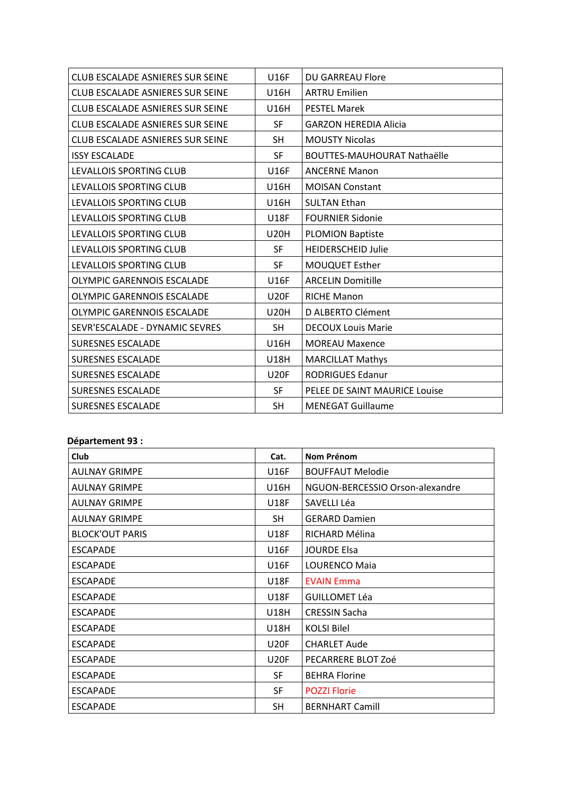| <b>CLUB ESCALADE ASNIERES SUR SEINE</b> | <b>U16F</b> | <b>DU GARREAU Flore</b>            |
|-----------------------------------------|-------------|------------------------------------|
| <b>CLUB ESCALADE ASNIERES SUR SEINE</b> | <b>U16H</b> | <b>ARTRU Emilien</b>               |
| <b>CLUB ESCALADE ASNIERES SUR SEINE</b> | <b>U16H</b> | <b>PESTEL Marek</b>                |
| CLUB ESCALADE ASNIERES SUR SEINE        | <b>SF</b>   | <b>GARZON HEREDIA Alicia</b>       |
| <b>CLUB ESCALADE ASNIERES SUR SEINE</b> | <b>SH</b>   | <b>MOUSTY Nicolas</b>              |
| <b>ISSY ESCALADE</b>                    | <b>SF</b>   | <b>BOUTTES-MAUHOURAT Nathaëlle</b> |
| LEVALLOIS SPORTING CLUB                 | <b>U16F</b> | <b>ANCERNE Manon</b>               |
| LEVALLOIS SPORTING CLUB                 | <b>U16H</b> | <b>MOISAN Constant</b>             |
| LEVALLOIS SPORTING CLUB                 | <b>U16H</b> | <b>SULTAN Ethan</b>                |
| LEVALLOIS SPORTING CLUB                 | <b>U18F</b> | <b>FOURNIER Sidonie</b>            |
| LEVALLOIS SPORTING CLUB                 | <b>U20H</b> | <b>PLOMION Baptiste</b>            |
| LEVALLOIS SPORTING CLUB                 | <b>SF</b>   | <b>HEIDERSCHEID Julie</b>          |
| LEVALLOIS SPORTING CLUB                 | <b>SF</b>   | MOUQUET Esther                     |
| OLYMPIC GARENNOIS ESCALADE              | <b>U16F</b> | <b>ARCELIN Domitille</b>           |
| <b>OLYMPIC GARENNOIS ESCALADE</b>       | <b>U20F</b> | <b>RICHE Manon</b>                 |
| OLYMPIC GARENNOIS ESCALADE              | <b>U20H</b> | D ALBERTO Clément                  |
| SEVR'ESCALADE - DYNAMIC SEVRES          | <b>SH</b>   | <b>DECOUX Louis Marie</b>          |
| <b>SURESNES ESCALADE</b>                | <b>U16H</b> | <b>MOREAU Maxence</b>              |
| <b>SURESNES ESCALADE</b>                | <b>U18H</b> | <b>MARCILLAT Mathys</b>            |
| <b>SURESNES ESCALADE</b>                | <b>U20F</b> | <b>RODRIGUES Edanur</b>            |
| <b>SURESNES ESCALADE</b>                | <b>SF</b>   | PELEE DE SAINT MAURICE Louise      |
| <b>SURESNES ESCALADE</b>                | <b>SH</b>   | <b>MENEGAT Guillaume</b>           |

#### Département 93 :

| Club                   | Cat.        | Nom Prénom                      |
|------------------------|-------------|---------------------------------|
| <b>AULNAY GRIMPE</b>   | U16F        | <b>BOUFFAUT Melodie</b>         |
| <b>AULNAY GRIMPE</b>   | U16H        | NGUON-BERCESSIO Orson-alexandre |
| <b>AULNAY GRIMPE</b>   | <b>U18F</b> | SAVELLI Léa                     |
| <b>AULNAY GRIMPE</b>   | <b>SH</b>   | <b>GERARD Damien</b>            |
| <b>BLOCK'OUT PARIS</b> | <b>U18F</b> | RICHARD Mélina                  |
| <b>ESCAPADE</b>        | U16F        | <b>JOURDE Elsa</b>              |
| <b>ESCAPADE</b>        | <b>U16F</b> | LOURENCO Maia                   |
| <b>ESCAPADE</b>        | <b>U18F</b> | <b>EVAIN Emma</b>               |
| <b>ESCAPADE</b>        | <b>U18F</b> | <b>GUILLOMET Léa</b>            |
| <b>ESCAPADE</b>        | U18H        | <b>CRESSIN Sacha</b>            |
| <b>ESCAPADE</b>        | U18H        | <b>KOLSI Bilel</b>              |
| <b>ESCAPADE</b>        | <b>U20F</b> | <b>CHARLET Aude</b>             |
| <b>ESCAPADE</b>        | <b>U20F</b> | PECARRERE BLOT Zoé              |
| <b>ESCAPADE</b>        | <b>SF</b>   | <b>BEHRA Florine</b>            |
| <b>ESCAPADE</b>        | <b>SF</b>   | <b>POZZI Florie</b>             |
| <b>ESCAPADE</b>        | <b>SH</b>   | <b>BERNHART Camill</b>          |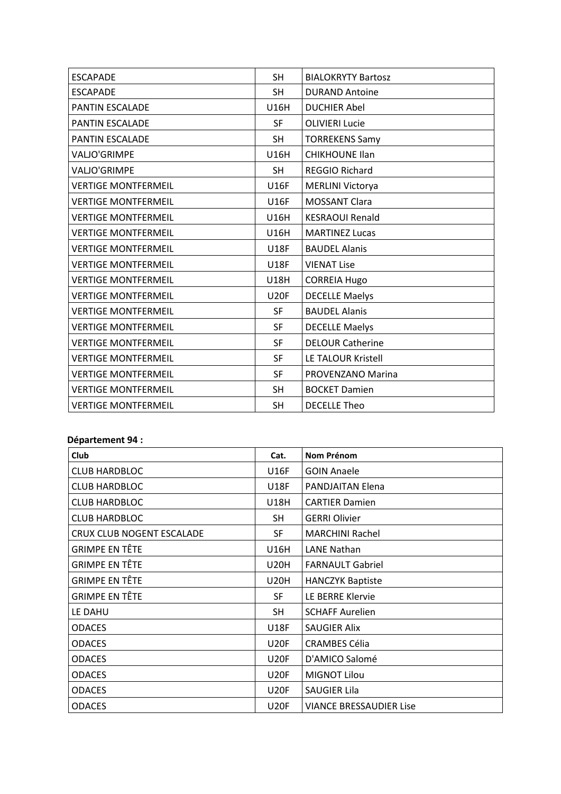| <b>ESCAPADE</b>            | <b>SH</b>   | <b>BIALOKRYTY Bartosz</b> |
|----------------------------|-------------|---------------------------|
| <b>ESCAPADE</b>            | <b>SH</b>   | <b>DURAND Antoine</b>     |
| <b>PANTIN ESCALADE</b>     | <b>U16H</b> | <b>DUCHIER Abel</b>       |
| <b>PANTIN ESCALADE</b>     | <b>SF</b>   | <b>OLIVIERI Lucie</b>     |
| PANTIN ESCALADE            | <b>SH</b>   | <b>TORREKENS Samy</b>     |
| VALJO'GRIMPE               | <b>U16H</b> | <b>CHIKHOUNE Ilan</b>     |
| <b>VALJO'GRIMPE</b>        | <b>SH</b>   | REGGIO Richard            |
| <b>VERTIGE MONTFERMEIL</b> | <b>U16F</b> | <b>MERLINI Victorya</b>   |
| <b>VERTIGE MONTFERMEIL</b> | <b>U16F</b> | <b>MOSSANT Clara</b>      |
| <b>VERTIGE MONTFERMEIL</b> | <b>U16H</b> | <b>KESRAOUI Renald</b>    |
| <b>VERTIGE MONTFERMEIL</b> | <b>U16H</b> | <b>MARTINEZ Lucas</b>     |
| <b>VERTIGE MONTFERMEIL</b> | <b>U18F</b> | <b>BAUDEL Alanis</b>      |
| <b>VERTIGE MONTFERMEIL</b> | <b>U18F</b> | <b>VIENAT Lise</b>        |
| <b>VERTIGE MONTFERMEIL</b> | <b>U18H</b> | <b>CORREIA Hugo</b>       |
| <b>VERTIGE MONTFERMEIL</b> | <b>U20F</b> | <b>DECELLE Maelys</b>     |
| <b>VERTIGE MONTFERMEIL</b> | <b>SF</b>   | <b>BAUDEL Alanis</b>      |
| <b>VERTIGE MONTFERMEIL</b> | <b>SF</b>   | <b>DECELLE Maelys</b>     |
| <b>VERTIGE MONTFERMEIL</b> | <b>SF</b>   | <b>DELOUR Catherine</b>   |
| <b>VERTIGE MONTFERMEIL</b> | SF          | LE TALOUR Kristell        |
| <b>VERTIGE MONTFERMEIL</b> | <b>SF</b>   | PROVENZANO Marina         |
| <b>VERTIGE MONTFERMEIL</b> | <b>SH</b>   | <b>BOCKET Damien</b>      |
| <b>VERTIGE MONTFERMEIL</b> | <b>SH</b>   | <b>DECELLE Theo</b>       |

#### Département 94 :

| Club                      | Cat.        | <b>Nom Prénom</b>              |
|---------------------------|-------------|--------------------------------|
| <b>CLUB HARDBLOC</b>      | U16F        | <b>GOIN Anaele</b>             |
| <b>CLUB HARDBLOC</b>      | <b>U18F</b> | <b>PANDJAITAN Elena</b>        |
| <b>CLUB HARDBLOC</b>      | <b>U18H</b> | <b>CARTIER Damien</b>          |
| <b>CLUB HARDBLOC</b>      | SH          | <b>GERRI Olivier</b>           |
| CRUX CLUB NOGENT ESCALADE | <b>SF</b>   | <b>MARCHINI Rachel</b>         |
| GRIMPE EN TÊTE            | <b>U16H</b> | <b>LANE Nathan</b>             |
| <b>GRIMPE EN TÊTE</b>     | <b>U20H</b> | <b>FARNAULT Gabriel</b>        |
| GRIMPE EN TÊTE            | <b>U20H</b> | <b>HANCZYK Baptiste</b>        |
| <b>GRIMPE EN TÊTE</b>     | <b>SF</b>   | LE BERRE Klervie               |
| LE DAHU                   | <b>SH</b>   | <b>SCHAFF Aurelien</b>         |
| <b>ODACES</b>             | <b>U18F</b> | <b>SAUGIER Alix</b>            |
| <b>ODACES</b>             | <b>U20F</b> | <b>CRAMBES Célia</b>           |
| <b>ODACES</b>             | <b>U20F</b> | D'AMICO Salomé                 |
| <b>ODACES</b>             | <b>U20F</b> | <b>MIGNOT Lilou</b>            |
| <b>ODACES</b>             | <b>U20F</b> | <b>SAUGIER Lila</b>            |
| <b>ODACES</b>             | <b>U20F</b> | <b>VIANCE BRESSAUDIER Lise</b> |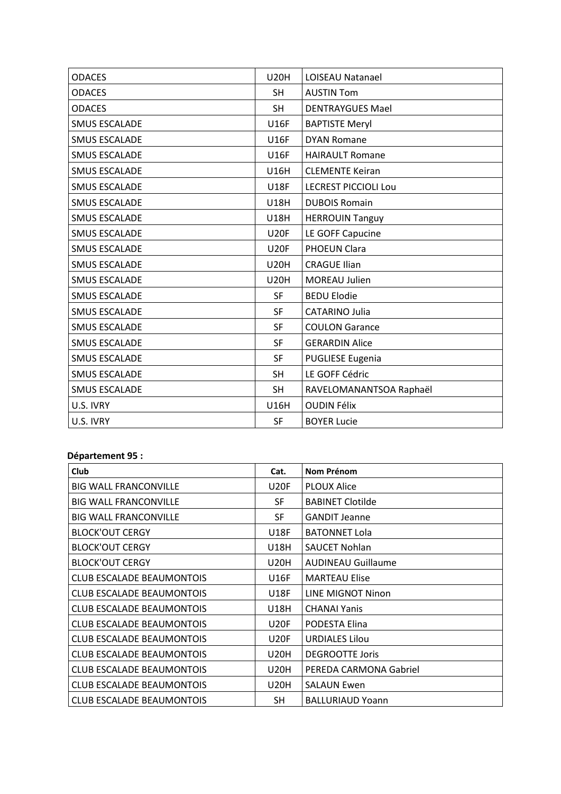| <b>ODACES</b>        | <b>U20H</b> | LOISEAU Natanael            |
|----------------------|-------------|-----------------------------|
| <b>ODACES</b>        | <b>SH</b>   | <b>AUSTIN Tom</b>           |
| <b>ODACES</b>        | <b>SH</b>   | <b>DENTRAYGUES Mael</b>     |
| <b>SMUS ESCALADE</b> | <b>U16F</b> | <b>BAPTISTE Meryl</b>       |
| <b>SMUS ESCALADE</b> | <b>U16F</b> | <b>DYAN Romane</b>          |
| <b>SMUS ESCALADE</b> | <b>U16F</b> | <b>HAIRAULT Romane</b>      |
| <b>SMUS ESCALADE</b> | <b>U16H</b> | <b>CLEMENTE Keiran</b>      |
| <b>SMUS ESCALADE</b> | <b>U18F</b> | <b>LECREST PICCIOLI Lou</b> |
| <b>SMUS ESCALADE</b> | <b>U18H</b> | <b>DUBOIS Romain</b>        |
| <b>SMUS ESCALADE</b> | <b>U18H</b> | <b>HERROUIN Tanguy</b>      |
| <b>SMUS ESCALADE</b> | <b>U20F</b> | LE GOFF Capucine            |
| <b>SMUS ESCALADE</b> | <b>U20F</b> | PHOEUN Clara                |
| <b>SMUS ESCALADE</b> | <b>U20H</b> | <b>CRAGUE Ilian</b>         |
| <b>SMUS ESCALADE</b> | <b>U20H</b> | MOREAU Julien               |
| <b>SMUS ESCALADE</b> | <b>SF</b>   | <b>BEDU Elodie</b>          |
| <b>SMUS ESCALADE</b> | <b>SF</b>   | <b>CATARINO Julia</b>       |
| <b>SMUS ESCALADE</b> | SF          | <b>COULON Garance</b>       |
| <b>SMUS ESCALADE</b> | <b>SF</b>   | <b>GERARDIN Alice</b>       |
| <b>SMUS ESCALADE</b> | <b>SF</b>   | <b>PUGLIESE Eugenia</b>     |
| <b>SMUS ESCALADE</b> | <b>SH</b>   | LE GOFF Cédric              |
| <b>SMUS ESCALADE</b> | <b>SH</b>   | RAVELOMANANTSOA Raphaël     |
| U.S. IVRY            | <b>U16H</b> | <b>OUDIN Félix</b>          |
| U.S. IVRY            | <b>SF</b>   | <b>BOYER Lucie</b>          |

## Département 95 :

| <b>Club</b>                      | Cat.        | Nom Prénom                |
|----------------------------------|-------------|---------------------------|
| <b>BIG WALL FRANCONVILLE</b>     | <b>U20F</b> | <b>PLOUX Alice</b>        |
| <b>BIG WALL FRANCONVILLE</b>     | <b>SF</b>   | <b>BABINET Clotilde</b>   |
| <b>BIG WALL FRANCONVILLE</b>     | <b>SF</b>   | <b>GANDIT Jeanne</b>      |
| <b>BLOCK'OUT CERGY</b>           | <b>U18F</b> | <b>BATONNET Lola</b>      |
| <b>BLOCK'OUT CERGY</b>           | <b>U18H</b> | <b>SAUCET Nohlan</b>      |
| <b>BLOCK'OUT CERGY</b>           | <b>U20H</b> | <b>AUDINEAU Guillaume</b> |
| <b>CLUB ESCALADE BEAUMONTOIS</b> | U16F        | <b>MARTEAU Elise</b>      |
| <b>CLUB ESCALADE BEAUMONTOIS</b> | <b>U18F</b> | LINE MIGNOT Ninon         |
| <b>CLUB ESCALADE BEAUMONTOIS</b> | <b>U18H</b> | <b>CHANAI Yanis</b>       |
| <b>CLUB ESCALADE BEAUMONTOIS</b> | <b>U20F</b> | PODESTA Elina             |
| <b>CLUB ESCALADE BEAUMONTOIS</b> | <b>U20F</b> | <b>URDIALES Lilou</b>     |
| <b>CLUB ESCALADE BEAUMONTOIS</b> | <b>U20H</b> | <b>DEGROOTTE Joris</b>    |
| <b>CLUB ESCALADE BEAUMONTOIS</b> | <b>U20H</b> | PEREDA CARMONA Gabriel    |
| <b>CLUB ESCALADE BEAUMONTOIS</b> | <b>U20H</b> | <b>SALAUN Ewen</b>        |
| <b>CLUB ESCALADE BEAUMONTOIS</b> | <b>SH</b>   | <b>BALLURIAUD Yoann</b>   |